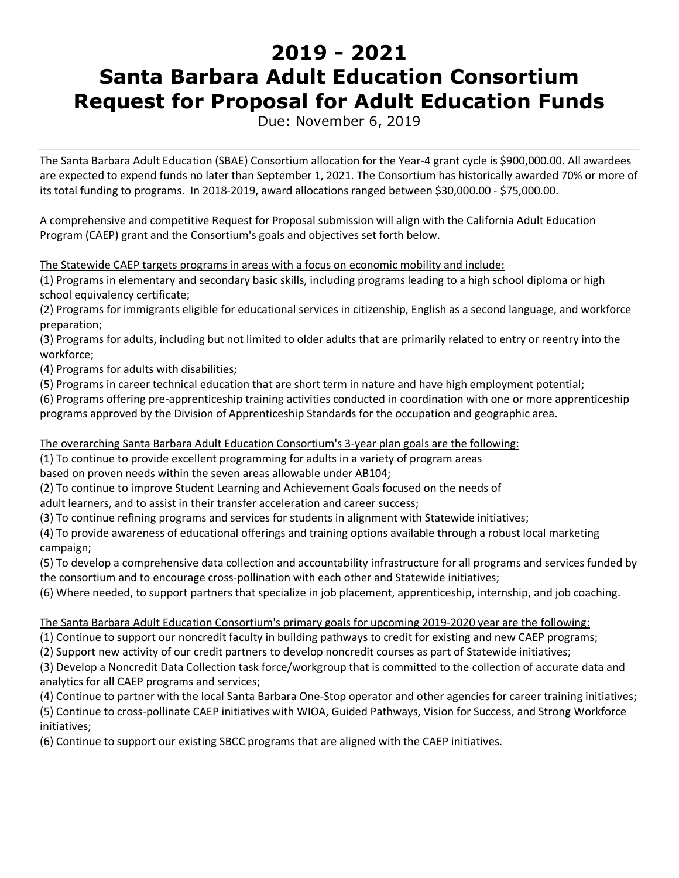# **2019 - 2021 Santa Barbara Adult Education Consortium Request for Proposal for Adult Education Funds**

Due: November 6, 2019

The Santa Barbara Adult Education (SBAE) Consortium allocation for the Year-4 grant cycle is \$900,000.00. All awardees are expected to expend funds no later than September 1, 2021. The Consortium has historically awarded 70% or more of its total funding to programs. In 2018-2019, award allocations ranged between \$30,000.00 - \$75,000.00.

A comprehensive and competitive Request for Proposal submission will align with the California Adult Education Program (CAEP) grant and the Consortium's goals and objectives set forth below.

The Statewide CAEP targets programs in areas with a focus on economic mobility and include:

(1) Programs in elementary and secondary basic skills, including programs leading to a high school diploma or high school equivalency certificate;

(2) Programs for immigrants eligible for educational services in citizenship, English as a second language, and workforce preparation;

(3) Programs for adults, including but not limited to older adults that are primarily related to entry or reentry into the workforce;

(4) Programs for adults with disabilities;

(5) Programs in career technical education that are short term in nature and have high employment potential;

(6) Programs offering pre-apprenticeship training activities conducted in coordination with one or more apprenticeship programs approved by the Division of Apprenticeship Standards for the occupation and geographic area.

The overarching Santa Barbara Adult Education Consortium's 3-year plan goals are the following:

(1) To continue to provide excellent programming for adults in a variety of program areas

based on proven needs within the seven areas allowable under AB104;

(2) To continue to improve Student Learning and Achievement Goals focused on the needs of

adult learners, and to assist in their transfer acceleration and career success;

(3) To continue refining programs and services for students in alignment with Statewide initiatives;

(4) To provide awareness of educational offerings and training options available through a robust local marketing campaign;

(5) To develop a comprehensive data collection and accountability infrastructure for all programs and services funded by the consortium and to encourage cross-pollination with each other and Statewide initiatives;

(6) Where needed, to support partners that specialize in job placement, apprenticeship, internship, and job coaching.

The Santa Barbara Adult Education Consortium's primary goals for upcoming 2019-2020 year are the following:

(1) Continue to support our noncredit faculty in building pathways to credit for existing and new CAEP programs;

(2) Support new activity of our credit partners to develop noncredit courses as part of Statewide initiatives;

(3) Develop a Noncredit Data Collection task force/workgroup that is committed to the collection of accurate data and analytics for all CAEP programs and services;

(4) Continue to partner with the local Santa Barbara One-Stop operator and other agencies for career training initiatives; (5) Continue to cross-pollinate CAEP initiatives with WIOA, Guided Pathways, Vision for Success, and Strong Workforce initiatives;

(6) Continue to support our existing SBCC programs that are aligned with the CAEP initiatives.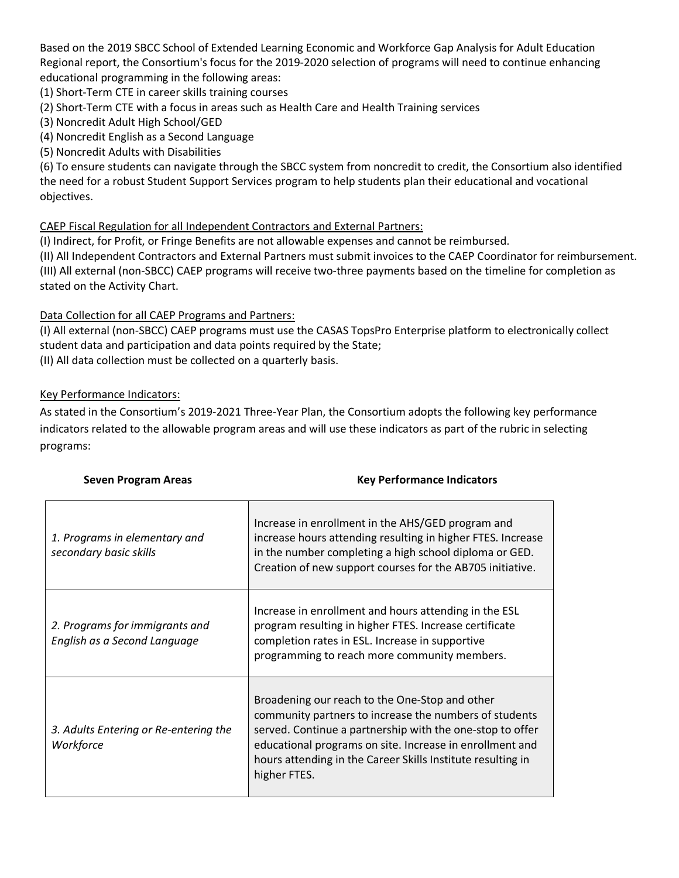Based on the 2019 SBCC School of Extended Learning Economic and Workforce Gap Analysis for Adult Education Regional report, the Consortium's focus for the 2019-2020 selection of programs will need to continue enhancing educational programming in the following areas:

(1) Short-Term CTE in career skills training courses

(2) Short-Term CTE with a focus in areas such as Health Care and Health Training services

- (3) Noncredit Adult High School/GED
- (4) Noncredit English as a Second Language
- (5) Noncredit Adults with Disabilities

(6) To ensure students can navigate through the SBCC system from noncredit to credit, the Consortium also identified the need for a robust Student Support Services program to help students plan their educational and vocational objectives.

#### CAEP Fiscal Regulation for all Independent Contractors and External Partners:

(I) Indirect, for Profit, or Fringe Benefits are not allowable expenses and cannot be reimbursed.

(II) All Independent Contractors and External Partners must submit invoices to the CAEP Coordinator for reimbursement. (III) All external (non-SBCC) CAEP programs will receive two-three payments based on the timeline for completion as stated on the Activity Chart.

#### Data Collection for all CAEP Programs and Partners:

(I) All external (non-SBCC) CAEP programs must use the CASAS TopsPro Enterprise platform to electronically collect student data and participation and data points required by the State;

(II) All data collection must be collected on a quarterly basis.

#### Key Performance Indicators:

As stated in the Consortium's 2019-2021 Three-Year Plan, the Consortium adopts the following key performance indicators related to the allowable program areas and will use these indicators as part of the rubric in selecting programs:

| 1. Programs in elementary and<br>secondary basic skills        | Increase in enrollment in the AHS/GED program and<br>increase hours attending resulting in higher FTES. Increase<br>in the number completing a high school diploma or GED.<br>Creation of new support courses for the AB705 initiative.                                                                          |
|----------------------------------------------------------------|------------------------------------------------------------------------------------------------------------------------------------------------------------------------------------------------------------------------------------------------------------------------------------------------------------------|
| 2. Programs for immigrants and<br>English as a Second Language | Increase in enrollment and hours attending in the ESL<br>program resulting in higher FTES. Increase certificate<br>completion rates in ESL. Increase in supportive<br>programming to reach more community members.                                                                                               |
| 3. Adults Entering or Re-entering the<br>Workforce             | Broadening our reach to the One-Stop and other<br>community partners to increase the numbers of students<br>served. Continue a partnership with the one-stop to offer<br>educational programs on site. Increase in enrollment and<br>hours attending in the Career Skills Institute resulting in<br>higher FTES. |

## **Seven Program Areas Manual Example 20 Key Performance Indicators**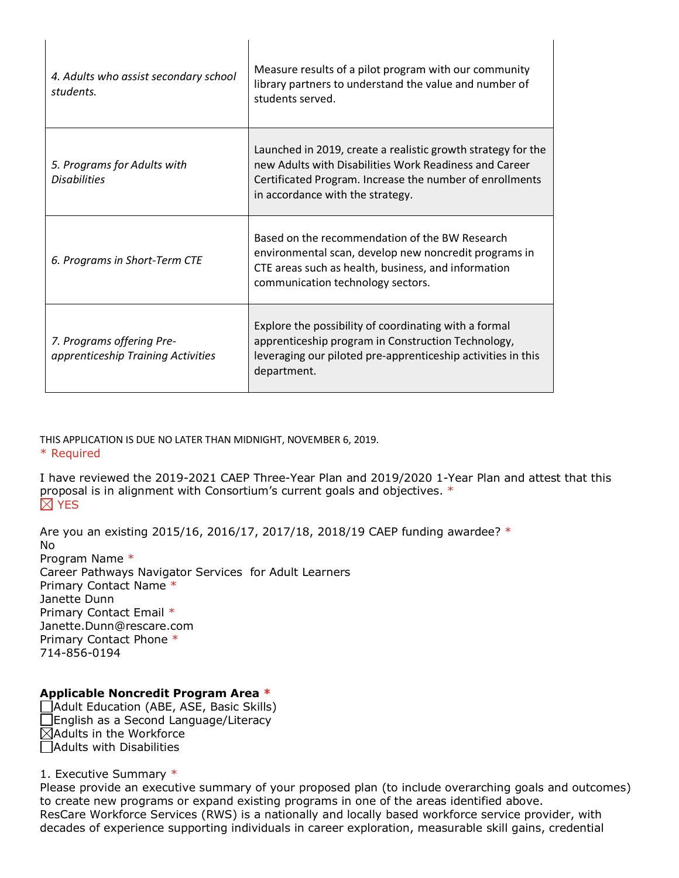| 4. Adults who assist secondary school<br>students.              | Measure results of a pilot program with our community<br>library partners to understand the value and number of<br>students served.                                                                                    |
|-----------------------------------------------------------------|------------------------------------------------------------------------------------------------------------------------------------------------------------------------------------------------------------------------|
| 5. Programs for Adults with<br><b>Disabilities</b>              | Launched in 2019, create a realistic growth strategy for the<br>new Adults with Disabilities Work Readiness and Career<br>Certificated Program. Increase the number of enrollments<br>in accordance with the strategy. |
| 6. Programs in Short-Term CTE                                   | Based on the recommendation of the BW Research<br>environmental scan, develop new noncredit programs in<br>CTE areas such as health, business, and information<br>communication technology sectors.                    |
| 7. Programs offering Pre-<br>apprenticeship Training Activities | Explore the possibility of coordinating with a formal<br>apprenticeship program in Construction Technology,<br>leveraging our piloted pre-apprenticeship activities in this<br>department.                             |

 $\mathsf{I}$ 

THIS APPLICATION IS DUE NO LATER THAN MIDNIGHT, NOVEMBER 6, 2019. \* Required

I have reviewed the 2019-2021 CAEP Three-Year Plan and 2019/2020 1-Year Plan and attest that this proposal is in alignment with Consortium's current goals and objectives. \*  $\boxtimes$  YES

Are you an existing 2015/16, 2016/17, 2017/18, 2018/19 CAEP funding awardee? \*

No Program Name \* Career Pathways Navigator Services for Adult Learners Primary Contact Name \* Janette Dunn Primary Contact Email \* Janette.Dunn@rescare.com Primary Contact Phone \* 714-856-0194

# **Applicable Noncredit Program Area \***

Adult Education (ABE, ASE, Basic Skills) English as a Second Language/Literacy  $\boxtimes$ Adults in the Workforce Adults with Disabilities

1. Executive Summary \*

 $\mathsf{l}$ 

Please provide an executive summary of your proposed plan (to include overarching goals and outcomes) to create new programs or expand existing programs in one of the areas identified above. ResCare Workforce Services (RWS) is a nationally and locally based workforce service provider, with decades of experience supporting individuals in career exploration, measurable skill gains, credential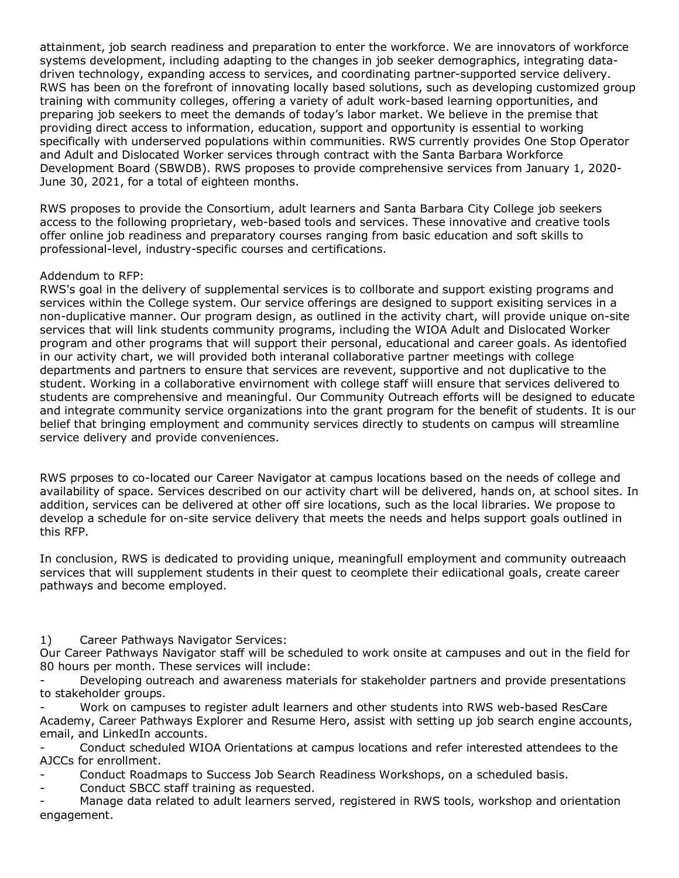attainment, job search readiness and preparation to enter the workforce. We are innovators of workforce systems development, including adapting to the changes in job seeker demographics, integrating datadriven technology, expanding access to services, and coordinating partner-supported service delivery. RWS has been on the forefront of innovating locally based solutions, such as developing customized group training with community colleges, offering a variety of adult work-based learning opportunities, and preparing job seekers to meet the demands of today's labor market. We believe in the premise that providing direct access to information, education, support and opportunity is essential to working specifically with underserved populations within communities. RWS currently provides One Stop Operator and Adult and Dislocated Worker services through contract with the Santa Barbara Workforce Development Board (SBWDB). RWS proposes to provide comprehensive services from January 1, 2020- June 30, 2021, for a total of eighteen months.

RWS proposes to provide the Consortium, adult learners and Santa Barbara City College job seekers access to the following proprietary, web-based tools and services. These innovative and creative tools offer online job readiness and preparatory courses ranging from basic education and soft skills to professional-level, industry-specific courses and certifications.

## Addendum to RFP:

RWS's goal in the delivery of supplemental services is to collborate and support existing programs and services within the College system. Our service offerings are designed to support exisiting services in a non-duplicative manner. Our program design, as outlined in the activity chart, will provide unique on-site services that will link students community programs, including the WIOA Adult and Dislocated Worker program and other programs that will support their personal, educational and career goals. As identofied in our activity chart, we will provided both interanal collaborative partner meetings with college departments and partners to ensure that services are revevent, supportive and not duplicative to the student. Working in a collaborative envirnoment with college staff wiill ensure that services delivered to students are comprehensive and meaningful. Our Community Outreach efforts will be designed to educate and integrate community service organizations into the grant program for the benefit of students. It is our belief that bringing employment and community services directly to students on campus will streamline service delivery and provide conveniences.

RWS prposes to co-located our Career Navigator at campus locations based on the needs of college and availability of space. Services described on our activity chart will be delivered, hands on, at school sites. In addition, services can be delivered at other off sire locations, such as the local libraries. We propose to develop a schedule for on-site service delivery that meets the needs and helps support goals outlined in this RFP.

In conclusion, RWS is dedicated to providing unique, meaningfull employment and community outreaach services that will supplement students in their quest to ceomplete their ediicational goals, create career pathways and become employed.

1) Career Pathways Navigator Services:

Our Career Pathways Navigator staff will be scheduled to work onsite at campuses and out in the field for 80 hours per month. These services will include:

Developing outreach and awareness materials for stakeholder partners and provide presentations to stakeholder groups.

Work on campuses to register adult learners and other students into RWS web-based ResCare Academy, Career Pathways Explorer and Resume Hero, assist with setting up job search engine accounts, email, and LinkedIn accounts.

- Conduct scheduled WIOA Orientations at campus locations and refer interested attendees to the AJCCs for enrollment.

Conduct Roadmaps to Success Job Search Readiness Workshops, on a scheduled basis.

Conduct SBCC staff training as requested.

Manage data related to adult learners served, registered in RWS tools, workshop and orientation engagement.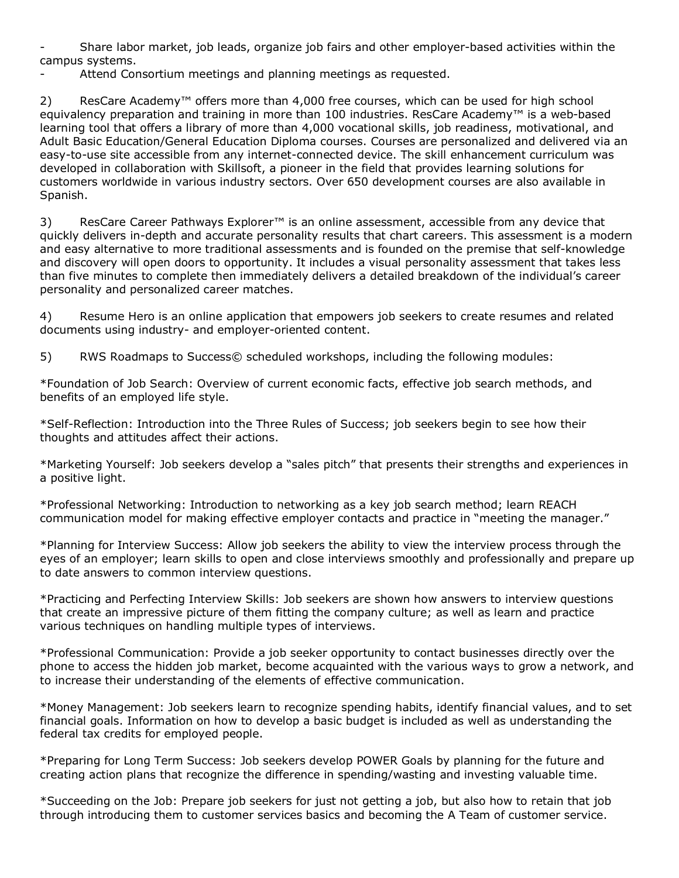- Share labor market, job leads, organize job fairs and other employer-based activities within the campus systems.

Attend Consortium meetings and planning meetings as requested.

2) ResCare Academy™ offers more than 4,000 free courses, which can be used for high school equivalency preparation and training in more than 100 industries. ResCare Academy™ is a web-based learning tool that offers a library of more than 4,000 vocational skills, job readiness, motivational, and Adult Basic Education/General Education Diploma courses. Courses are personalized and delivered via an easy-to-use site accessible from any internet-connected device. The skill enhancement curriculum was developed in collaboration with Skillsoft, a pioneer in the field that provides learning solutions for customers worldwide in various industry sectors. Over 650 development courses are also available in Spanish.

3) ResCare Career Pathways Explorer<sup>™</sup> is an online assessment, accessible from any device that quickly delivers in-depth and accurate personality results that chart careers. This assessment is a modern and easy alternative to more traditional assessments and is founded on the premise that self-knowledge and discovery will open doors to opportunity. It includes a visual personality assessment that takes less than five minutes to complete then immediately delivers a detailed breakdown of the individual's career personality and personalized career matches.

4) Resume Hero is an online application that empowers job seekers to create resumes and related documents using industry- and employer-oriented content.

5) RWS Roadmaps to Success© scheduled workshops, including the following modules:

\*Foundation of Job Search: Overview of current economic facts, effective job search methods, and benefits of an employed life style.

\*Self-Reflection: Introduction into the Three Rules of Success; job seekers begin to see how their thoughts and attitudes affect their actions.

\*Marketing Yourself: Job seekers develop a "sales pitch" that presents their strengths and experiences in a positive light.

\*Professional Networking: Introduction to networking as a key job search method; learn REACH communication model for making effective employer contacts and practice in "meeting the manager."

\*Planning for Interview Success: Allow job seekers the ability to view the interview process through the eyes of an employer; learn skills to open and close interviews smoothly and professionally and prepare up to date answers to common interview questions.

\*Practicing and Perfecting Interview Skills: Job seekers are shown how answers to interview questions that create an impressive picture of them fitting the company culture; as well as learn and practice various techniques on handling multiple types of interviews.

\*Professional Communication: Provide a job seeker opportunity to contact businesses directly over the phone to access the hidden job market, become acquainted with the various ways to grow a network, and to increase their understanding of the elements of effective communication.

\*Money Management: Job seekers learn to recognize spending habits, identify financial values, and to set financial goals. Information on how to develop a basic budget is included as well as understanding the federal tax credits for employed people.

\*Preparing for Long Term Success: Job seekers develop POWER Goals by planning for the future and creating action plans that recognize the difference in spending/wasting and investing valuable time.

\*Succeeding on the Job: Prepare job seekers for just not getting a job, but also how to retain that job through introducing them to customer services basics and becoming the A Team of customer service.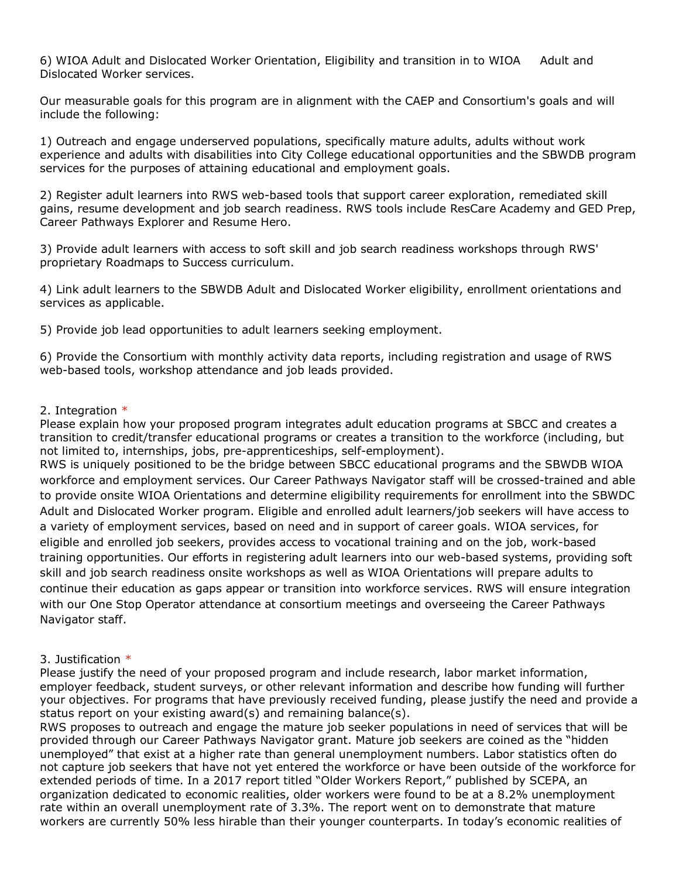6) WIOA Adult and Dislocated Worker Orientation, Eligibility and transition in to WIOA Adult and Dislocated Worker services.

Our measurable goals for this program are in alignment with the CAEP and Consortium's goals and will include the following:

1) Outreach and engage underserved populations, specifically mature adults, adults without work experience and adults with disabilities into City College educational opportunities and the SBWDB program services for the purposes of attaining educational and employment goals.

2) Register adult learners into RWS web-based tools that support career exploration, remediated skill gains, resume development and job search readiness. RWS tools include ResCare Academy and GED Prep, Career Pathways Explorer and Resume Hero.

3) Provide adult learners with access to soft skill and job search readiness workshops through RWS' proprietary Roadmaps to Success curriculum.

4) Link adult learners to the SBWDB Adult and Dislocated Worker eligibility, enrollment orientations and services as applicable.

5) Provide job lead opportunities to adult learners seeking employment.

6) Provide the Consortium with monthly activity data reports, including registration and usage of RWS web-based tools, workshop attendance and job leads provided.

#### 2. Integration  $*$

Please explain how your proposed program integrates adult education programs at SBCC and creates a transition to credit/transfer educational programs or creates a transition to the workforce (including, but not limited to, internships, jobs, pre-apprenticeships, self-employment).

RWS is uniquely positioned to be the bridge between SBCC educational programs and the SBWDB WIOA workforce and employment services. Our Career Pathways Navigator staff will be crossed-trained and able to provide onsite WIOA Orientations and determine eligibility requirements for enrollment into the SBWDC Adult and Dislocated Worker program. Eligible and enrolled adult learners/job seekers will have access to a variety of employment services, based on need and in support of career goals. WIOA services, for eligible and enrolled job seekers, provides access to vocational training and on the job, work-based training opportunities. Our efforts in registering adult learners into our web-based systems, providing soft skill and job search readiness onsite workshops as well as WIOA Orientations will prepare adults to continue their education as gaps appear or transition into workforce services. RWS will ensure integration with our One Stop Operator attendance at consortium meetings and overseeing the Career Pathways Navigator staff.

#### 3. Justification \*

Please justify the need of your proposed program and include research, labor market information, employer feedback, student surveys, or other relevant information and describe how funding will further your objectives. For programs that have previously received funding, please justify the need and provide a status report on your existing award(s) and remaining balance(s).

RWS proposes to outreach and engage the mature job seeker populations in need of services that will be provided through our Career Pathways Navigator grant. Mature job seekers are coined as the "hidden unemployed" that exist at a higher rate than general unemployment numbers. Labor statistics often do not capture job seekers that have not yet entered the workforce or have been outside of the workforce for extended periods of time. In a 2017 report titled "Older Workers Report," published by SCEPA, an organization dedicated to economic realities, older workers were found to be at a 8.2% unemployment rate within an overall unemployment rate of 3.3%. The report went on to demonstrate that mature workers are currently 50% less hirable than their younger counterparts. In today's economic realities of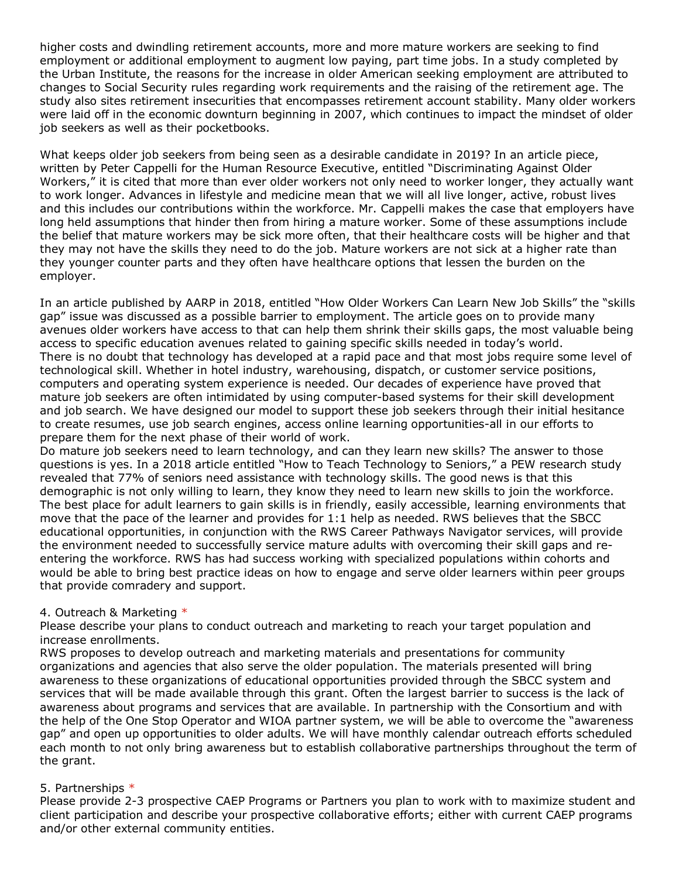higher costs and dwindling retirement accounts, more and more mature workers are seeking to find employment or additional employment to augment low paying, part time jobs. In a study completed by the Urban Institute, the reasons for the increase in older American seeking employment are attributed to changes to Social Security rules regarding work requirements and the raising of the retirement age. The study also sites retirement insecurities that encompasses retirement account stability. Many older workers were laid off in the economic downturn beginning in 2007, which continues to impact the mindset of older job seekers as well as their pocketbooks.

What keeps older job seekers from being seen as a desirable candidate in 2019? In an article piece, written by Peter Cappelli for the Human Resource Executive, entitled "Discriminating Against Older Workers," it is cited that more than ever older workers not only need to worker longer, they actually want to work longer. Advances in lifestyle and medicine mean that we will all live longer, active, robust lives and this includes our contributions within the workforce. Mr. Cappelli makes the case that employers have long held assumptions that hinder then from hiring a mature worker. Some of these assumptions include the belief that mature workers may be sick more often, that their healthcare costs will be higher and that they may not have the skills they need to do the job. Mature workers are not sick at a higher rate than they younger counter parts and they often have healthcare options that lessen the burden on the employer.

In an article published by AARP in 2018, entitled "How Older Workers Can Learn New Job Skills" the "skills gap" issue was discussed as a possible barrier to employment. The article goes on to provide many avenues older workers have access to that can help them shrink their skills gaps, the most valuable being access to specific education avenues related to gaining specific skills needed in today's world. There is no doubt that technology has developed at a rapid pace and that most jobs require some level of technological skill. Whether in hotel industry, warehousing, dispatch, or customer service positions, computers and operating system experience is needed. Our decades of experience have proved that mature job seekers are often intimidated by using computer-based systems for their skill development and job search. We have designed our model to support these job seekers through their initial hesitance to create resumes, use job search engines, access online learning opportunities-all in our efforts to prepare them for the next phase of their world of work.

Do mature job seekers need to learn technology, and can they learn new skills? The answer to those questions is yes. In a 2018 article entitled "How to Teach Technology to Seniors," a PEW research study revealed that 77% of seniors need assistance with technology skills. The good news is that this demographic is not only willing to learn, they know they need to learn new skills to join the workforce. The best place for adult learners to gain skills is in friendly, easily accessible, learning environments that move that the pace of the learner and provides for 1:1 help as needed. RWS believes that the SBCC educational opportunities, in conjunction with the RWS Career Pathways Navigator services, will provide the environment needed to successfully service mature adults with overcoming their skill gaps and reentering the workforce. RWS has had success working with specialized populations within cohorts and would be able to bring best practice ideas on how to engage and serve older learners within peer groups that provide comradery and support.

#### 4. Outreach & Marketing \*

Please describe your plans to conduct outreach and marketing to reach your target population and increase enrollments.

RWS proposes to develop outreach and marketing materials and presentations for community organizations and agencies that also serve the older population. The materials presented will bring awareness to these organizations of educational opportunities provided through the SBCC system and services that will be made available through this grant. Often the largest barrier to success is the lack of awareness about programs and services that are available. In partnership with the Consortium and with the help of the One Stop Operator and WIOA partner system, we will be able to overcome the "awareness gap" and open up opportunities to older adults. We will have monthly calendar outreach efforts scheduled each month to not only bring awareness but to establish collaborative partnerships throughout the term of the grant.

#### 5. Partnerships \*

Please provide 2-3 prospective CAEP Programs or Partners you plan to work with to maximize student and client participation and describe your prospective collaborative efforts; either with current CAEP programs and/or other external community entities.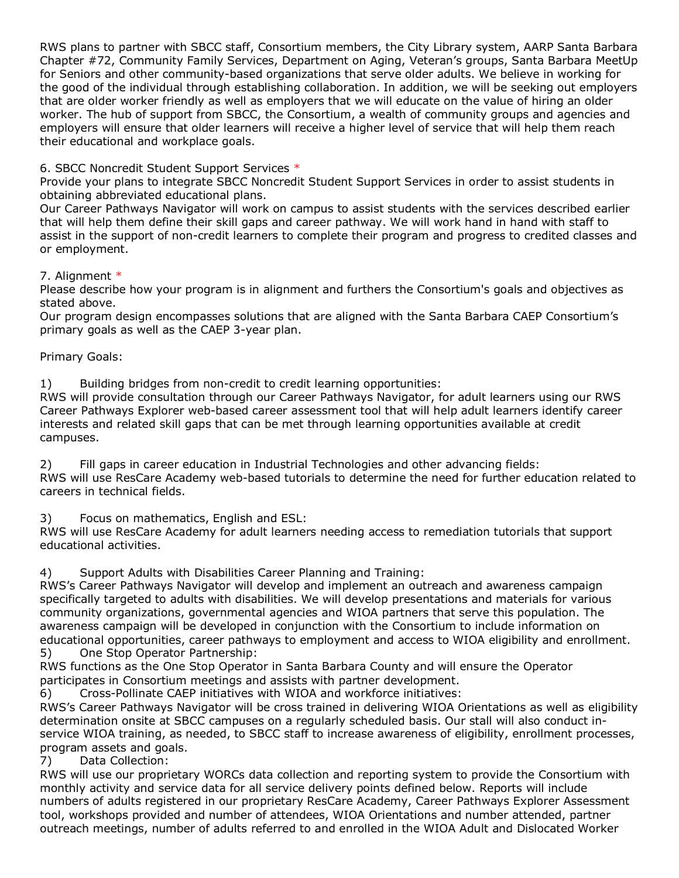RWS plans to partner with SBCC staff, Consortium members, the City Library system, AARP Santa Barbara Chapter #72, Community Family Services, Department on Aging, Veteran's groups, Santa Barbara MeetUp for Seniors and other community-based organizations that serve older adults. We believe in working for the good of the individual through establishing collaboration. In addition, we will be seeking out employers that are older worker friendly as well as employers that we will educate on the value of hiring an older worker. The hub of support from SBCC, the Consortium, a wealth of community groups and agencies and employers will ensure that older learners will receive a higher level of service that will help them reach their educational and workplace goals.

# 6. SBCC Noncredit Student Support Services \*

Provide your plans to integrate SBCC Noncredit Student Support Services in order to assist students in obtaining abbreviated educational plans.

Our Career Pathways Navigator will work on campus to assist students with the services described earlier that will help them define their skill gaps and career pathway. We will work hand in hand with staff to assist in the support of non-credit learners to complete their program and progress to credited classes and or employment.

## 7. Alignment \*

Please describe how your program is in alignment and furthers the Consortium's goals and objectives as stated above.

Our program design encompasses solutions that are aligned with the Santa Barbara CAEP Consortium's primary goals as well as the CAEP 3-year plan.

## Primary Goals:

1) Building bridges from non-credit to credit learning opportunities:

RWS will provide consultation through our Career Pathways Navigator, for adult learners using our RWS Career Pathways Explorer web-based career assessment tool that will help adult learners identify career interests and related skill gaps that can be met through learning opportunities available at credit campuses.

2) Fill gaps in career education in Industrial Technologies and other advancing fields: RWS will use ResCare Academy web-based tutorials to determine the need for further education related to careers in technical fields.

3) Focus on mathematics, English and ESL:

RWS will use ResCare Academy for adult learners needing access to remediation tutorials that support educational activities.

4) Support Adults with Disabilities Career Planning and Training:

RWS's Career Pathways Navigator will develop and implement an outreach and awareness campaign specifically targeted to adults with disabilities. We will develop presentations and materials for various community organizations, governmental agencies and WIOA partners that serve this population. The awareness campaign will be developed in conjunction with the Consortium to include information on educational opportunities, career pathways to employment and access to WIOA eligibility and enrollment. 5) One Stop Operator Partnership:

RWS functions as the One Stop Operator in Santa Barbara County and will ensure the Operator participates in Consortium meetings and assists with partner development.

6) Cross-Pollinate CAEP initiatives with WIOA and workforce initiatives:

RWS's Career Pathways Navigator will be cross trained in delivering WIOA Orientations as well as eligibility determination onsite at SBCC campuses on a regularly scheduled basis. Our stall will also conduct inservice WIOA training, as needed, to SBCC staff to increase awareness of eligibility, enrollment processes, program assets and goals.

7) Data Collection:

RWS will use our proprietary WORCs data collection and reporting system to provide the Consortium with monthly activity and service data for all service delivery points defined below. Reports will include numbers of adults registered in our proprietary ResCare Academy, Career Pathways Explorer Assessment tool, workshops provided and number of attendees, WIOA Orientations and number attended, partner outreach meetings, number of adults referred to and enrolled in the WIOA Adult and Dislocated Worker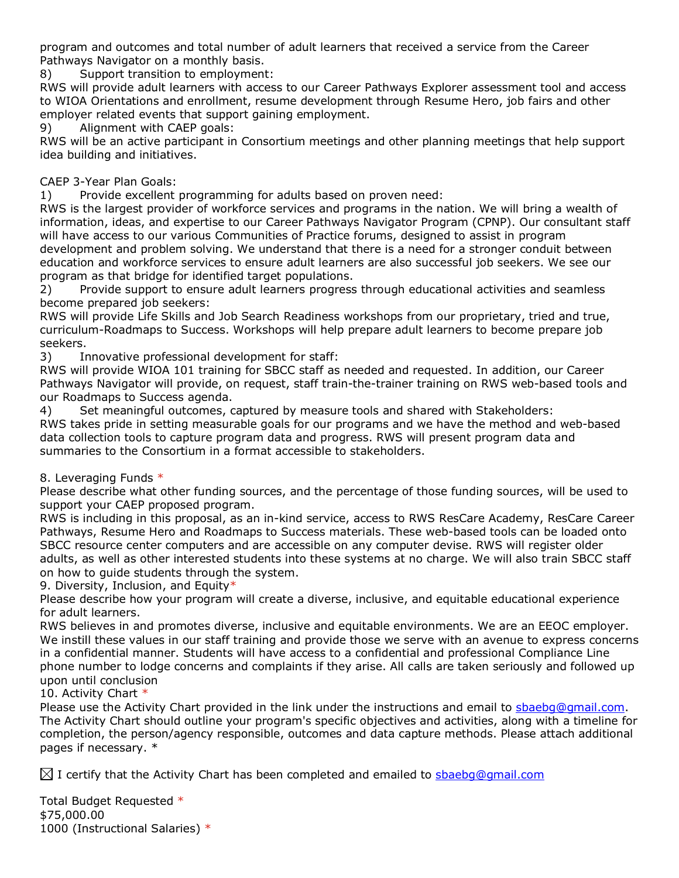program and outcomes and total number of adult learners that received a service from the Career Pathways Navigator on a monthly basis.

8) Support transition to employment:

RWS will provide adult learners with access to our Career Pathways Explorer assessment tool and access to WIOA Orientations and enrollment, resume development through Resume Hero, job fairs and other employer related events that support gaining employment.

9) Alignment with CAEP goals:

RWS will be an active participant in Consortium meetings and other planning meetings that help support idea building and initiatives.

## CAEP 3-Year Plan Goals:

1) Provide excellent programming for adults based on proven need:

RWS is the largest provider of workforce services and programs in the nation. We will bring a wealth of information, ideas, and expertise to our Career Pathways Navigator Program (CPNP). Our consultant staff will have access to our various Communities of Practice forums, designed to assist in program development and problem solving. We understand that there is a need for a stronger conduit between education and workforce services to ensure adult learners are also successful job seekers. We see our program as that bridge for identified target populations.

2) Provide support to ensure adult learners progress through educational activities and seamless become prepared job seekers:

RWS will provide Life Skills and Job Search Readiness workshops from our proprietary, tried and true, curriculum-Roadmaps to Success. Workshops will help prepare adult learners to become prepare job seekers.

3) Innovative professional development for staff:

RWS will provide WIOA 101 training for SBCC staff as needed and requested. In addition, our Career Pathways Navigator will provide, on request, staff train-the-trainer training on RWS web-based tools and our Roadmaps to Success agenda.

4) Set meaningful outcomes, captured by measure tools and shared with Stakeholders: RWS takes pride in setting measurable goals for our programs and we have the method and web-based data collection tools to capture program data and progress. RWS will present program data and summaries to the Consortium in a format accessible to stakeholders.

8. Leveraging Funds \*

Please describe what other funding sources, and the percentage of those funding sources, will be used to support your CAEP proposed program.

RWS is including in this proposal, as an in-kind service, access to RWS ResCare Academy, ResCare Career Pathways, Resume Hero and Roadmaps to Success materials. These web-based tools can be loaded onto SBCC resource center computers and are accessible on any computer devise. RWS will register older adults, as well as other interested students into these systems at no charge. We will also train SBCC staff on how to guide students through the system.

9. Diversity, Inclusion, and Equity\*

Please describe how your program will create a diverse, inclusive, and equitable educational experience for adult learners.

RWS believes in and promotes diverse, inclusive and equitable environments. We are an EEOC employer. We instill these values in our staff training and provide those we serve with an avenue to express concerns in a confidential manner. Students will have access to a confidential and professional Compliance Line phone number to lodge concerns and complaints if they arise. All calls are taken seriously and followed up upon until conclusion

10. Activity Chart \*

Please use the Activity Chart provided in the link under the instructions and email to sbaebg@gmail.com. The Activity Chart should outline your program's specific objectives and activities, along with a timeline for completion, the person/agency responsible, outcomes and data capture methods. Please attach additional pages if necessary. \*

 $\boxtimes$  I certify that the Activity Chart has been completed and emailed to sbaebg@gmail.com

Total Budget Requested \* \$75,000.00 1000 (Instructional Salaries) \*